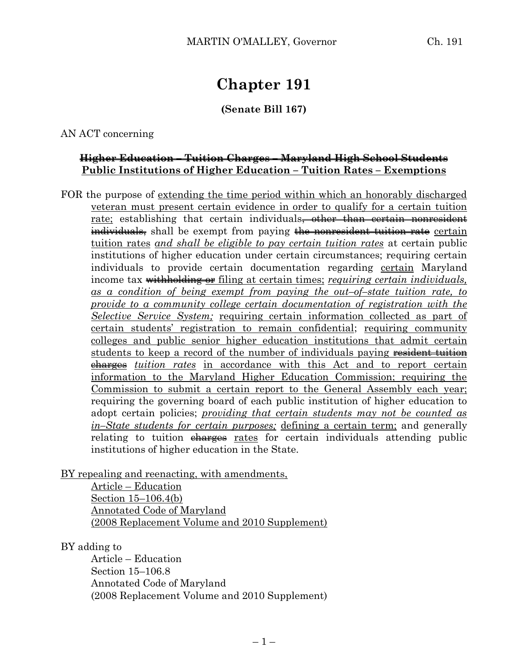# **Chapter 191**

# **(Senate Bill 167)**

AN ACT concerning

## **Higher Education – Tuition Charges – Maryland High School Students Public Institutions of Higher Education – Tuition Rates – Exemptions**

FOR the purpose of extending the time period within which an honorably discharged veteran must present certain evidence in order to qualify for a certain tuition rate; establishing that certain individuals<del>, other than certain nonresident</del> individuals, shall be exempt from paying the nonresident tuition rate certain tuition rates *and shall be eligible to pay certain tuition rates* at certain public institutions of higher education under certain circumstances; requiring certain individuals to provide certain documentation regarding certain Maryland income tax withholding or filing at certain times; *requiring certain individuals, as a condition of being exempt from paying the out–of–state tuition rate, to provide to a community college certain documentation of registration with the Selective Service System;* requiring certain information collected as part of certain students' registration to remain confidential; requiring community colleges and public senior higher education institutions that admit certain students to keep a record of the number of individuals paying resident tuition charges *tuition rates* in accordance with this Act and to report certain information to the Maryland Higher Education Commission; requiring the Commission to submit a certain report to the General Assembly each year; requiring the governing board of each public institution of higher education to adopt certain policies; *providing that certain students may not be counted as in–State students for certain purposes;* defining a certain term; and generally relating to tuition charges rates for certain individuals attending public institutions of higher education in the State.

BY repealing and reenacting, with amendments,

Article – Education Section 15–106.4(b) Annotated Code of Maryland (2008 Replacement Volume and 2010 Supplement)

#### BY adding to

Article – Education Section 15–106.8 Annotated Code of Maryland (2008 Replacement Volume and 2010 Supplement)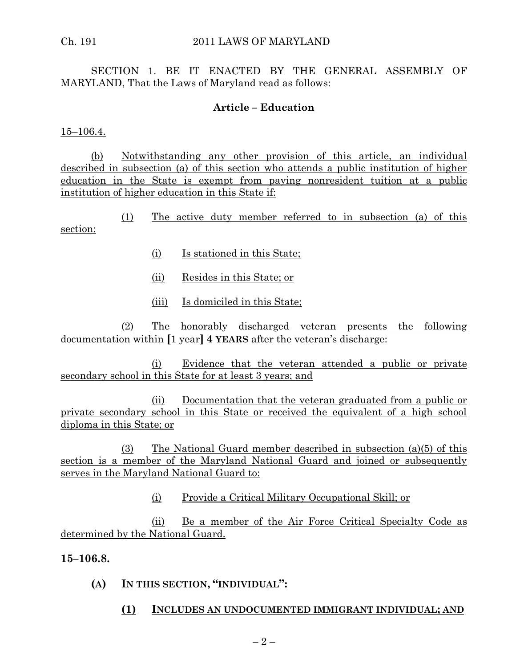SECTION 1. BE IT ENACTED BY THE GENERAL ASSEMBLY OF MARYLAND, That the Laws of Maryland read as follows:

## **Article – Education**

15–106.4.

(b) Notwithstanding any other provision of this article, an individual described in subsection (a) of this section who attends a public institution of higher education in the State is exempt from paying nonresident tuition at a public institution of higher education in this State if:

(1) The active duty member referred to in subsection (a) of this section:

- (i) Is stationed in this State;
- (ii) Resides in this State; or
- (iii) Is domiciled in this State;

(2) The honorably discharged veteran presents the following documentation within **[**1 year**] 4 YEARS** after the veteran's discharge:

(i) Evidence that the veteran attended a public or private secondary school in this State for at least 3 years; and

(ii) Documentation that the veteran graduated from a public or private secondary school in this State or received the equivalent of a high school diploma in this State; or

(3) The National Guard member described in subsection (a)(5) of this section is a member of the Maryland National Guard and joined or subsequently serves in the Maryland National Guard to:

(i) Provide a Critical Military Occupational Skill; or

(ii) Be a member of the Air Force Critical Specialty Code as determined by the National Guard.

**15–106.8.**

## **(A) IN THIS SECTION, "INDIVIDUAL":**

**(1) INCLUDES AN UNDOCUMENTED IMMIGRANT INDIVIDUAL; AND**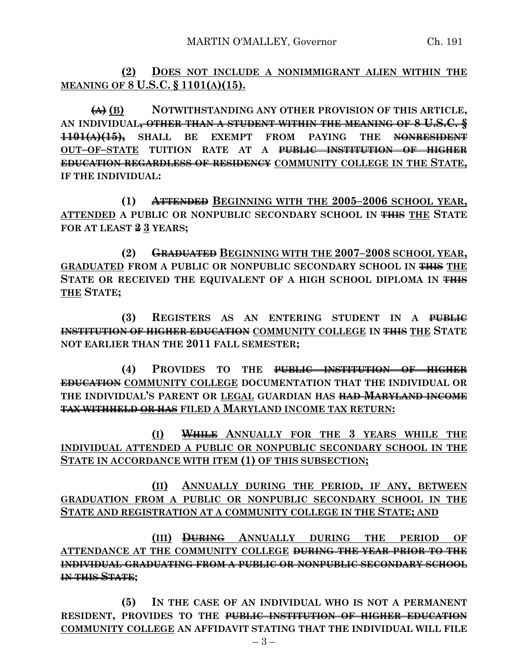**(2) DOES NOT INCLUDE A NONIMMIGRANT ALIEN WITHIN THE MEANING OF 8 U.S.C. § 1101(A)(15).**

**(A) (B) NOTWITHSTANDING ANY OTHER PROVISION OF THIS ARTICLE, AN INDIVIDUAL, OTHER THAN A STUDENT WITHIN THE MEANING OF 8 U.S.C. § 1101(A)(15), SHALL BE EXEMPT FROM PAYING THE NONRESIDENT OUT–OF–STATE TUITION RATE AT A PUBLIC INSTITUTION OF HIGHER EDUCATION REGARDLESS OF RESIDENCY COMMUNITY COLLEGE IN THE STATE, IF THE INDIVIDUAL:**

**(1) ATTENDED BEGINNING WITH THE 2005–2006 SCHOOL YEAR, ATTENDED A PUBLIC OR NONPUBLIC SECONDARY SCHOOL IN THIS THE STATE FOR AT LEAST 2 3 YEARS;**

**(2) GRADUATED BEGINNING WITH THE 2007–2008 SCHOOL YEAR, GRADUATED FROM A PUBLIC OR NONPUBLIC SECONDARY SCHOOL IN THIS THE STATE OR RECEIVED THE EQUIVALENT OF A HIGH SCHOOL DIPLOMA IN THIS THE STATE;**

**(3) REGISTERS AS AN ENTERING STUDENT IN A PUBLIC INSTITUTION OF HIGHER EDUCATION COMMUNITY COLLEGE IN THIS THE STATE NOT EARLIER THAN THE 2011 FALL SEMESTER;**

**(4) PROVIDES TO THE PUBLIC INSTITUTION OF HIGHER EDUCATION COMMUNITY COLLEGE DOCUMENTATION THAT THE INDIVIDUAL OR THE INDIVIDUAL'S PARENT OR LEGAL GUARDIAN HAS HAD MARYLAND INCOME TAX WITHHELD OR HAS FILED A MARYLAND INCOME TAX RETURN:**

**(I) WHILE ANNUALLY FOR THE 3 YEARS WHILE THE INDIVIDUAL ATTENDED A PUBLIC OR NONPUBLIC SECONDARY SCHOOL IN THE STATE IN ACCORDANCE WITH ITEM (1) OF THIS SUBSECTION;**

**(II) ANNUALLY DURING THE PERIOD, IF ANY, BETWEEN GRADUATION FROM A PUBLIC OR NONPUBLIC SECONDARY SCHOOL IN THE STATE AND REGISTRATION AT A COMMUNITY COLLEGE IN THE STATE; AND**

**(III) DURING ANNUALLY DURING THE PERIOD OF ATTENDANCE AT THE COMMUNITY COLLEGE DURING THE YEAR PRIOR TO THE INDIVIDUAL GRADUATING FROM A PUBLIC OR NONPUBLIC SECONDARY SCHOOL IN THIS STATE;**

**(5) IN THE CASE OF AN INDIVIDUAL WHO IS NOT A PERMANENT RESIDENT, PROVIDES TO THE PUBLIC INSTITUTION OF HIGHER EDUCATION COMMUNITY COLLEGE AN AFFIDAVIT STATING THAT THE INDIVIDUAL WILL FILE**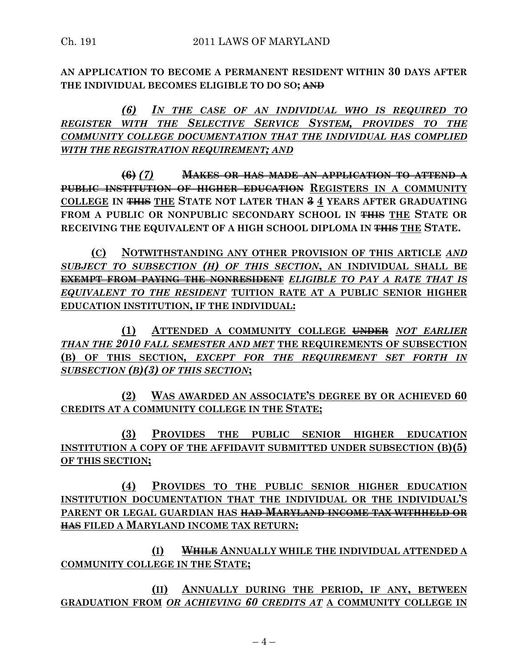**AN APPLICATION TO BECOME A PERMANENT RESIDENT WITHIN 30 DAYS AFTER THE INDIVIDUAL BECOMES ELIGIBLE TO DO SO; AND**

*(6) IN THE CASE OF AN INDIVIDUAL WHO IS REQUIRED TO REGISTER WITH THE SELECTIVE SERVICE SYSTEM, PROVIDES TO THE COMMUNITY COLLEGE DOCUMENTATION THAT THE INDIVIDUAL HAS COMPLIED WITH THE REGISTRATION REQUIREMENT; AND*

**(6)** *(7)* **MAKES OR HAS MADE AN APPLICATION TO ATTEND A PUBLIC INSTITUTION OF HIGHER EDUCATION REGISTERS IN A COMMUNITY COLLEGE IN THIS THE STATE NOT LATER THAN 3 4 YEARS AFTER GRADUATING FROM A PUBLIC OR NONPUBLIC SECONDARY SCHOOL IN THIS THE STATE OR RECEIVING THE EQUIVALENT OF A HIGH SCHOOL DIPLOMA IN THIS THE STATE.**

**(C) NOTWITHSTANDING ANY OTHER PROVISION OF THIS ARTICLE** *AND SUBJECT TO SUBSECTION (H) OF THIS SECTION***, AN INDIVIDUAL SHALL BE EXEMPT FROM PAYING THE NONRESIDENT** *ELIGIBLE TO PAY A RATE THAT IS EQUIVALENT TO THE RESIDENT* **TUITION RATE AT A PUBLIC SENIOR HIGHER EDUCATION INSTITUTION, IF THE INDIVIDUAL:**

**(1) ATTENDED A COMMUNITY COLLEGE UNDER** *NOT EARLIER THAN THE 2010 FALL SEMESTER AND MET* **THE REQUIREMENTS OF SUBSECTION (B) OF THIS SECTION***, EXCEPT FOR THE REQUIREMENT SET FORTH IN SUBSECTION (B)(3) OF THIS SECTION***;**

**(2) WAS AWARDED AN ASSOCIATE'S DEGREE BY OR ACHIEVED 60 CREDITS AT A COMMUNITY COLLEGE IN THE STATE;**

**(3) PROVIDES THE PUBLIC SENIOR HIGHER EDUCATION INSTITUTION A COPY OF THE AFFIDAVIT SUBMITTED UNDER SUBSECTION (B)(5) OF THIS SECTION;**

**(4) PROVIDES TO THE PUBLIC SENIOR HIGHER EDUCATION INSTITUTION DOCUMENTATION THAT THE INDIVIDUAL OR THE INDIVIDUAL'S PARENT OR LEGAL GUARDIAN HAS HAD MARYLAND INCOME TAX WITHHELD OR HAS FILED A MARYLAND INCOME TAX RETURN:**

**(I) WHILE ANNUALLY WHILE THE INDIVIDUAL ATTENDED A COMMUNITY COLLEGE IN THE STATE;**

**(II) ANNUALLY DURING THE PERIOD, IF ANY, BETWEEN GRADUATION FROM** *OR ACHIEVING 60 CREDITS AT* **A COMMUNITY COLLEGE IN**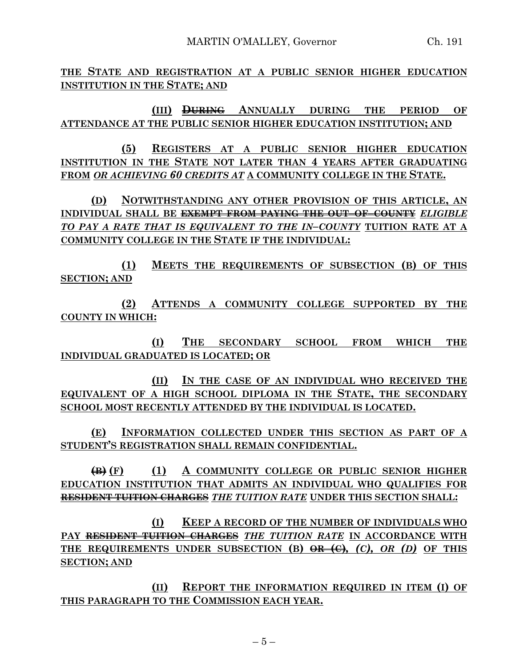MARTIN O'MALLEY, Governor Ch. 191

**THE STATE AND REGISTRATION AT A PUBLIC SENIOR HIGHER EDUCATION INSTITUTION IN THE STATE; AND**

**(III) DURING ANNUALLY DURING THE PERIOD OF ATTENDANCE AT THE PUBLIC SENIOR HIGHER EDUCATION INSTITUTION; AND**

**(5) REGISTERS AT A PUBLIC SENIOR HIGHER EDUCATION INSTITUTION IN THE STATE NOT LATER THAN 4 YEARS AFTER GRADUATING FROM** *OR ACHIEVING 60 CREDITS AT* **A COMMUNITY COLLEGE IN THE STATE.**

**(D) NOTWITHSTANDING ANY OTHER PROVISION OF THIS ARTICLE, AN INDIVIDUAL SHALL BE EXEMPT FROM PAYING THE OUT–OF–COUNTY** *ELIGIBLE TO PAY A RATE THAT IS EQUIVALENT TO THE IN–COUNTY* **TUITION RATE AT A COMMUNITY COLLEGE IN THE STATE IF THE INDIVIDUAL:**

**(1) MEETS THE REQUIREMENTS OF SUBSECTION (B) OF THIS SECTION; AND**

**(2) ATTENDS A COMMUNITY COLLEGE SUPPORTED BY THE COUNTY IN WHICH:**

**(I) THE SECONDARY SCHOOL FROM WHICH THE INDIVIDUAL GRADUATED IS LOCATED; OR**

**(II) IN THE CASE OF AN INDIVIDUAL WHO RECEIVED THE EQUIVALENT OF A HIGH SCHOOL DIPLOMA IN THE STATE, THE SECONDARY SCHOOL MOST RECENTLY ATTENDED BY THE INDIVIDUAL IS LOCATED.**

**(E) INFORMATION COLLECTED UNDER THIS SECTION AS PART OF A STUDENT'S REGISTRATION SHALL REMAIN CONFIDENTIAL.**

**(B) (F) (1) A COMMUNITY COLLEGE OR PUBLIC SENIOR HIGHER EDUCATION INSTITUTION THAT ADMITS AN INDIVIDUAL WHO QUALIFIES FOR RESIDENT TUITION CHARGES** *THE TUITION RATE* **UNDER THIS SECTION SHALL:**

**(I) KEEP A RECORD OF THE NUMBER OF INDIVIDUALS WHO PAY RESIDENT TUITION CHARGES** *THE TUITION RATE* **IN ACCORDANCE WITH THE REQUIREMENTS UNDER SUBSECTION (B) OR (C)***, (C), OR (D)* **OF THIS SECTION; AND**

**(II) REPORT THE INFORMATION REQUIRED IN ITEM (I) OF THIS PARAGRAPH TO THE COMMISSION EACH YEAR.**